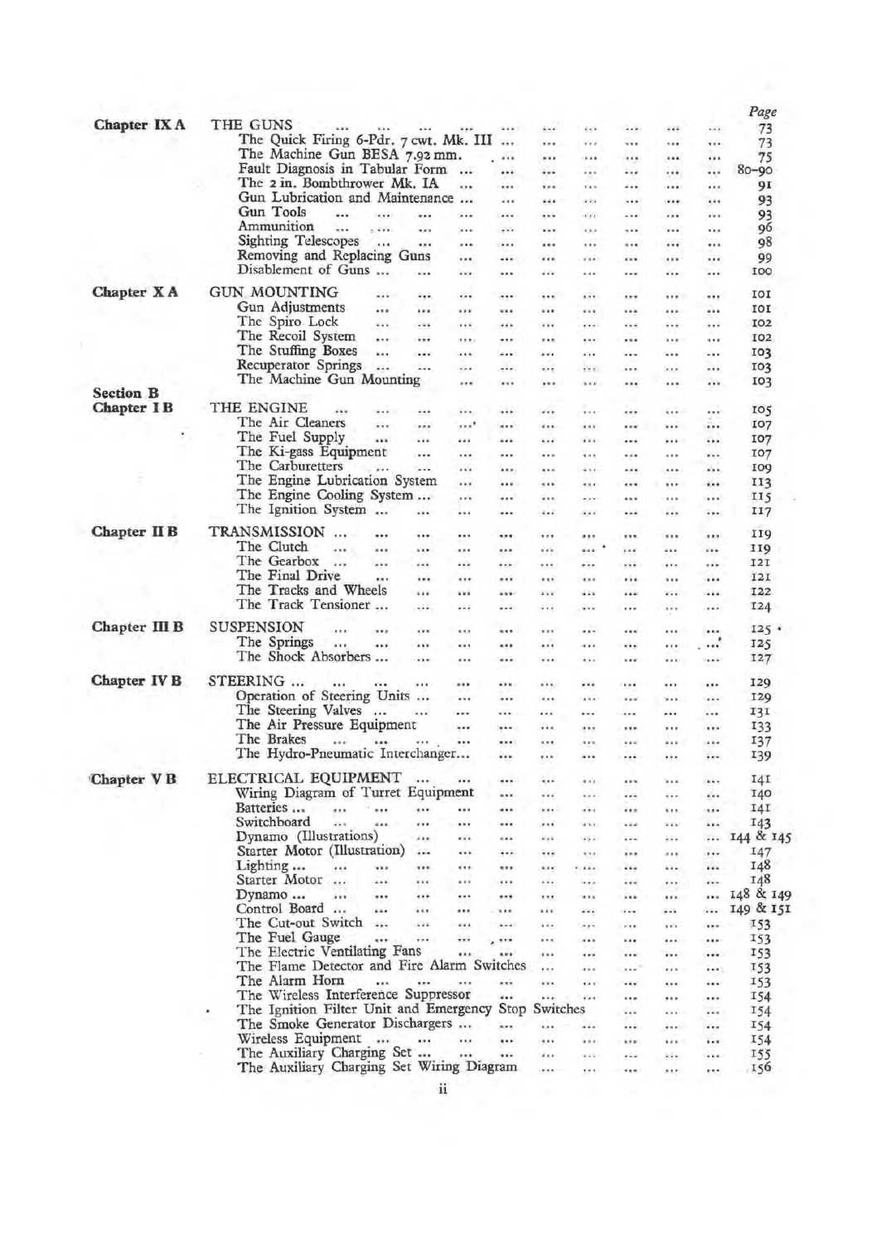|                  |                                                       |          |            |               |                |               |            | Page            |
|------------------|-------------------------------------------------------|----------|------------|---------------|----------------|---------------|------------|-----------------|
| Chapter IX A     | THE GUNS<br>                                          |          | in e       | $\cdots$      | 1.1            | $\cdots$      | rick.      | 73              |
|                  | The Quick Firing 6-Pdr. 7 cwt. Mk. III                | $\cdots$ | 1.1.7      | 1.17          | 711            | 1.01          | 111        | 73              |
|                  | The Machine Gun BESA 7.92 mm.                         | $\cdots$ |            |               |                |               |            | 75              |
|                  | Fault Diagnosis in Tabular Form                       |          | $\cdots$   | $x + b$       |                |               |            | 80-90           |
|                  | The 2 in. Bombthrower Mk. IA<br>irs.                  |          | 7.88       | $x + h$       |                | 1.11          | m          | 91              |
|                  | Gun Lubrication and Maintenance                       | - -      | 2247       | 229.          | $-0.00$        |               |            | 93              |
|                  | Gun Tools<br><br>1.14<br>                             |          | 111        | 1,837         |                | 1.11          |            | 93              |
|                  | Ammunition<br>$\cdots$<br>1.9991<br>***<br>           |          | <b>CAY</b> | 43.9          | 448            |               |            | 96              |
|                  | <b>Sighting Telescopes</b><br><br>$+54$<br>           |          | 111        |               |                |               |            | 98              |
|                  | Removing and Replacing Guns<br>                       |          |            | 5.58          | 1.11           |               |            | 99              |
|                  | Disablement of Guns<br><br>11.1                       |          |            | 1.44          | 1.14           |               |            | 100             |
| Chapter X A      | <b>GUN MOUNTING</b><br>$\cdots$<br><br>$\cdots$       |          |            | 1.11          | 1.77           |               |            | IOI             |
|                  | Gun Adjustments<br>1.14<br>118<br>                    | 13.4     |            |               | 1.14           |               |            | 101             |
|                  | The Spiro Lock<br>$\cdots$<br>$-114$<br>111           |          |            |               | 1.14           | 111           |            | <b>IO2</b>      |
|                  | The Recoil System<br>$\cdots$<br><br>1883             |          |            | 1.14          | 184            | $\rightarrow$ | 111        | 102             |
|                  | The Stuffing Boxes<br>$\cdots$<br>$\cdots$<br>188     | 1.11     |            | $k$ is as     |                |               |            | 103             |
|                  | Recuperator Springs<br>$\cdots$<br>$\cdots$           | $\cdots$ |            | 188.          |                | .             |            | 103             |
|                  | The Machine Gun Mounting<br>                          | 117      | ve e       | 4.66          | 114            |               | a via      | 103             |
| <b>Section B</b> |                                                       |          |            |               |                |               |            |                 |
| Chapter I B      | THE ENGINE<br><br>                                    |          | 111        | 12.5          | 1.1.1          |               |            | 105             |
|                  | The Air Cleaners<br><br>100<br>1.11                   | 111      | 111        | ***           | 688            |               |            | 107             |
|                  | The Fuel Supply<br>$-300 -$<br>6.13<br>.001           | 5.42     | $\cdots$   | 1.11          |                |               |            | 107             |
|                  | The Ki-gass Equipment<br>$\cdots$<br>1.14             |          |            | 8.9 9.        | 1.11           |               | ri e       | 107             |
|                  | The Carburetters<br>$\cdots$<br>$\cdots$<br>113       | 1.17     |            | 211.          | 1.11           |               | is a       | 109             |
|                  | The Engine Lubrication System<br>1.1.7                | 115      |            | 18.4          | 1.14           |               |            | 113             |
|                  | The Engine Cooling System<br>                         |          | in i       | ***           |                |               |            | <b>II5</b>      |
|                  | The Ignition System<br>1.11<br>                       |          | 1.1        | 1.11          | 1.14           |               |            | II7             |
| Chapter II B     | TRANSMISSION                                          |          |            |               |                |               |            |                 |
|                  | $\cdots$<br>$\cdots$<br>$\cdots$<br><br>The Clutch    |          | 7.77       | 433           | 533            | 53.8          | 1,828      | 119             |
|                  | $\cdots$<br>a dal<br>ske.<br>3,83<br>The Gearbox      |          | side.      | a a la        | 5.08           |               |            | 119             |
|                  | <br>$\cdots$<br>œ<br><br>The Final Drive              |          |            |               |                |               |            | 121             |
|                  | <br><br><br>The Tracks and Wheels                     |          | 111        |               | 111            | 1.1           | 884        | 121             |
|                  | <br><br>The Track Tensioner                           |          | 444        | 1.1           |                |               |            | 122             |
|                  | ٠٠<br>                                                |          |            | 11.1          |                | 1.1.1         | 1.12       | I <sub>24</sub> |
| Chapter III B    | <b>SUSPENSION</b><br>$\cdots$<br>110<br>s'es'<br>111  |          | sins.      |               | 1.14           |               | 1.14       | 125.            |
|                  | The Springs<br>$\cdots$<br><br>k Ch<br>               | $\cdots$ |            | .             | 1.1.7          |               | , 111      | 125             |
|                  | The Shock Absorbers<br>in k<br>                       |          |            | $2.1 - 1.0$   |                |               | 1989.      | 127             |
| Chapter IV B     | STEERING                                              |          |            |               |                |               |            |                 |
|                  | <br><br>$\cdots$<br><br>Operation of Steering Units   | 5.78     | skk.       |               | 1.14           |               | 11.7       | 129             |
|                  | <br>The Steering Valves                               |          |            | ake:          | 3.430          | 333           | 1888       | I <sub>29</sub> |
|                  | $   -$<br>an an<br>The Air Pressure Equipment         |          | ***        | <b>A 11 A</b> | 14.99          |               | 1.14       | 131             |
|                  | The Brakes<br>and the                                 |          |            | 115           | 117            |               | 13.9       | 133             |
|                  | New York you will<br>The Hydro-Pneumatic Interchanger | 111      | 131        | <b>KA'N</b>   | 1.11           |               |            | 137<br>139      |
|                  |                                                       | $\cdots$ | m          |               |                | $\cdots$      | $\cdots$   |                 |
| Chapter V B      | ELECTRICAL EQUIPMENT<br>$-200$                        |          | in a       | 7.11          | 1.11           | <b>TAB</b>    | <b>RAY</b> | 141             |
|                  | Wiring Diagram of Turret Equipment                    | 3,890    |            |               |                |               | $1.1 +$    | 140             |
|                  | Batteries<br><br><br>$\cdots$                         |          |            | $-1.1$        |                |               | $1.1 -$    | 141             |
|                  | Switchboard<br>1.1<br><br>$\cdots$<br>                |          | 111        | 4.1.1         | $-24$          | ***           |            | 143             |
|                  | Dynamo (Illustrations)<br>648.<br>$\cdots$            |          |            | <b>AGE</b>    |                |               |            | 144 & 145       |
|                  | Starter Motor (Illustration)<br><br>1.11              | $\cdots$ | 113        | 6.9.8         | 7.58           | 711           | 111        | 147             |
|                  | Lighting<br><br>117<br>$x \times x$<br>117            | 1.11     | 884        | $-600$        | $-0.00$        |               | 1.11       | 148             |
|                  | Starter Motor<br><br><br>1.11                         |          |            | 1000          | 188            |               |            | 148             |
|                  | Dynamo<br>1.11<br><br><br>                            |          | 111        | 3.3.9         |                |               |            | 148 & 149       |
|                  | Control Board<br><br><br>111                          | 1.11     |            |               | $\cdots$       |               |            | 149 & 151       |
|                  | The Cut-out Switch<br>is i<br>                        |          | $1.4 -$    | 883.          | 718            | <b>TER</b>    |            | 153             |
|                  | The Fuel Gauge<br>in.<br><br>                         |          |            | 1.11          |                | 1.1           |            | 153             |
|                  | The Electric Ventilating Fans<br>383                  | 1.11     |            | 4.69          |                | $\cdots$      |            | 153             |
|                  | The Flame Detector and Fire Alarm Switches            |          | $\cdots$   | <b>AVA</b>    | 1.1.7          |               | $1 + 1$    | 153             |
|                  | The Alarm Horn<br><br>$\cdots$<br>                    |          | iri.       |               | $\overline{a}$ | $\cdots$      |            | 153             |
|                  | The Wireless Interference Suppressor                  | i.i      |            | $\cdots$      |                |               | 111        | 154             |
|                  | The Ignition Filter Unit and Emergency Stop Switches  |          |            |               | 1.11           |               |            | 154             |
|                  | The Smoke Generator Dischargers                       |          | $\cdots$   | 1.77          |                |               |            | 154             |
|                  | Wireless Equipment<br>893 - POL                       |          | $\cdots$   | 1.11          | 1.13           | $x + n$       | $1 + 1$    | 154             |
|                  | The Auxiliary Charging Set<br>                        | 188.7    | 8.63       | <b>SALE</b>   | 1.14           | $\cdots$      |            | 155             |
|                  | The Auxiliary Charging Set Wiring Diagram             |          | <b>KAA</b> | on.           |                | <b>A 1.7</b>  | 1.54       | 156             |
|                  |                                                       |          |            |               |                |               |            |                 |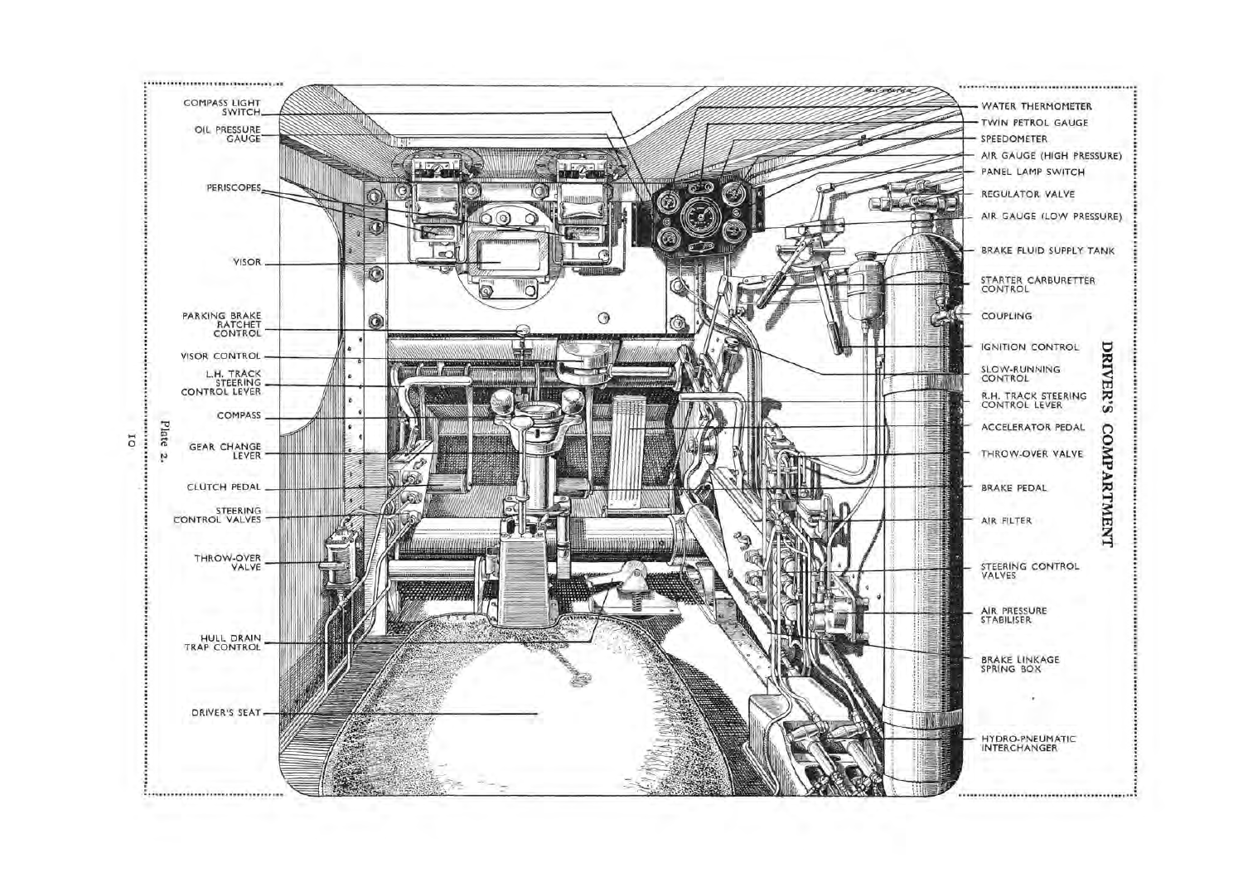

ōI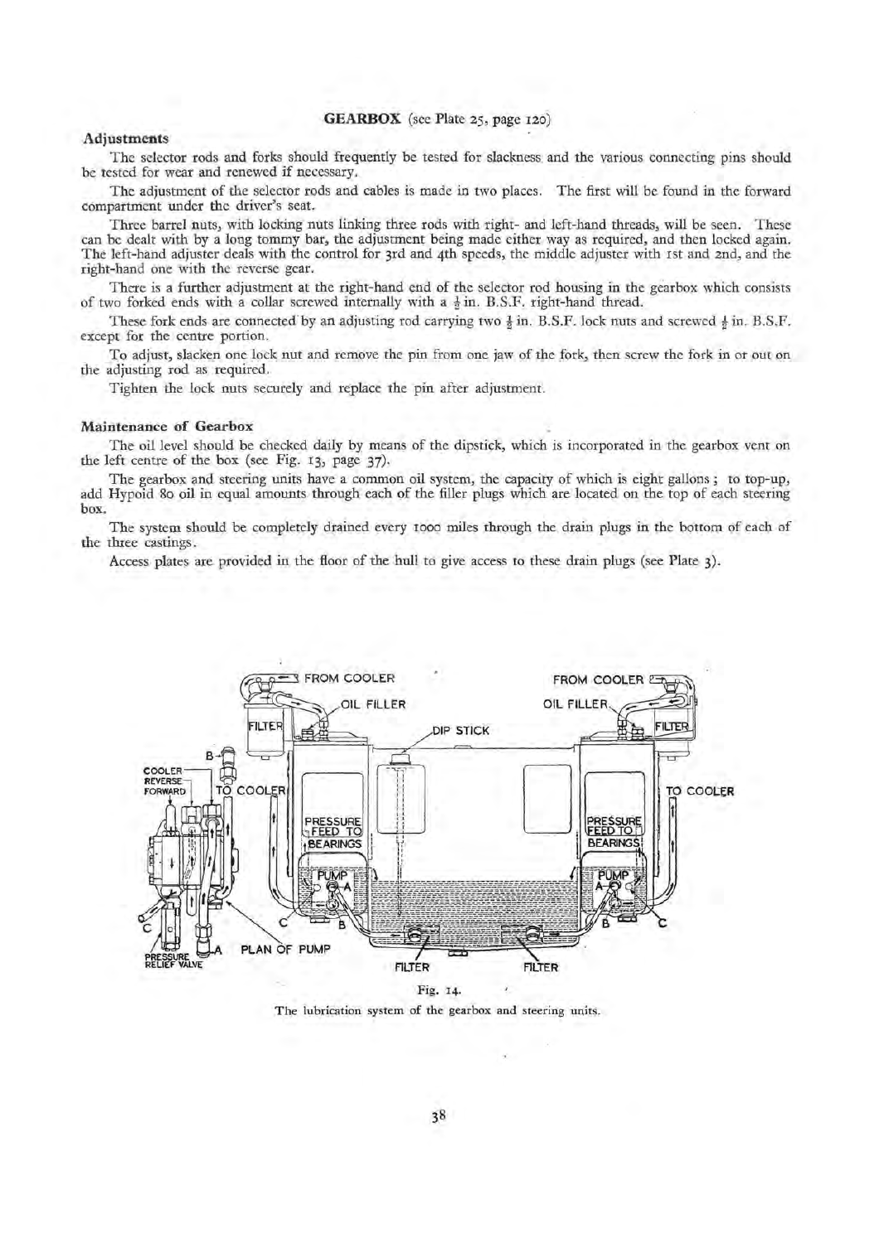## GEARBOX (see Plate 25, page 120)

## Adjustments

The selector rods and forks should frequently be tested for slackness and the various connecting pins should be tested for wear and renewed if necessary.

The adjustment of the selector rods and cables is made in two places. The first will be found in the forward compartment under the driver's seat.

Three barrel nuts, with locking nuts linking three rods with right- and left-hand threads, will be seen. These can be dealt with by a long tommy bar, the adjustment being made either way as required, and then locked again. The left-hand adjuster deals with the control for 3rd and 4th speeds, the middle adjuster with 1st and 2nd, and the right-hand one with the reverse gear.

There is a further adjustment at the right-hand end of the selector rod housing in the gearbox which consists of two forked ends with a collar screwed internally with a  $\frac{1}{2}$  in. B.S.F. right-hand thread.

These fork ends are connected by an adjusting rod carrying two  $\frac{1}{2}$  in. B.S.F. lock nuts and screwed  $\frac{1}{2}$  in. B.S.F. except for the centre portion.

To adjust, slacken one lock nut and remove the pin from one jaw of the fork, then screw the fork in or out on the adjusting rod as required.

Tighten the lock nuts securely and replace the pin after adjustment.

## Maintenance of Gearbox

The oil level should be checked daily by means of the dipstick, which is incorporated in the gearbox vent on the left centre of the box (see Fig. 13, page 37)·

The gearbox and steering units have a common oil system, the capacity of which is eight gallons; to top-up, add Hypoid 80 oil in equal amounts through each of the filler plugs which are located on the top of each steering box.

The system should be completely drained every 1000 miles through the drain plugs in the bottom of each of the three castings.

Access plates are provided in the floor of the hull to give access to these drain plugs (see Plate 3).



The lubrication system of the gearbox and steering units.